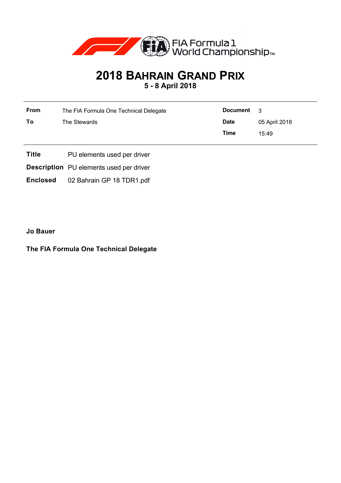

## **2018 BAHRAIN GRAND PRIX 5 - 8 April 2018**

**From** The FIA Formula One Technical Delegate **To** The Stewards **Document** 3 **Date** 05 April 2018 **Time** 15:49

**Title** PU elements used per driver

**Description** PU elements used per driver

**Enclosed** 02 Bahrain GP 18 TDR1.pdf

**Jo Bauer**

**The FIA Formula One Technical Delegate**